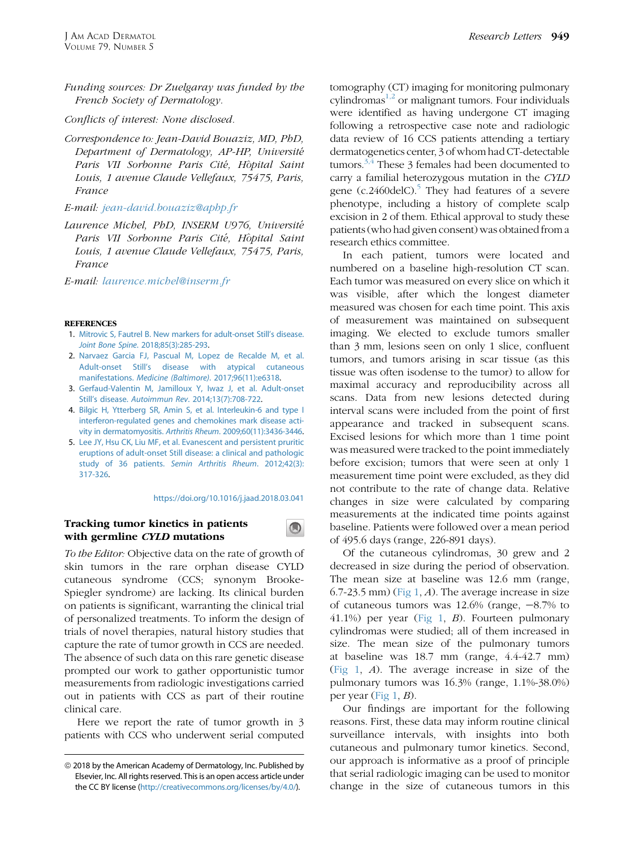Funding sources: Dr Zuelgaray was funded by the French Society of Dermatology.

Conflicts of interest: None disclosed.

Correspondence to: Jean-David Bouaziz, MD, PhD, Department of Dermatology, AP-HP, Universite Paris VII Sorbonne Paris Cité, Hôpital Saint Louis, 1 avenue Claude Vellefaux, 75475, Paris, France

E-mail: [jean-david.bouaziz@aphp.fr](mailto:jean-david.bouaziz@aphp.fr)

Laurence Michel, PhD, INSERM U976, Universite Paris VII Sorbonne Paris Cité, Hôpital Saint Louis, 1 avenue Claude Vellefaux, 75475, Paris, France

E-mail: [laurence.michel@inserm.fr](mailto:laurence.michel@inserm.fr)

#### **REFERENCES**

- 1. [Mitrovic S, Fautrel B. New markers for adult-onset Still's disease.](http://refhub.elsevier.com/S0190-9622(18)30637-6/sref1) Joint Bone Spine[. 2018;85\(3\):285-293.](http://refhub.elsevier.com/S0190-9622(18)30637-6/sref1)
- 2. [Narvaez Garcia FJ, Pascual M, Lopez de Recalde M, et al.](http://refhub.elsevier.com/S0190-9622(18)30637-6/sref2) [Adult-onset Still's disease with atypical cutaneous](http://refhub.elsevier.com/S0190-9622(18)30637-6/sref2) manifestations. [Medicine \(Baltimore\)](http://refhub.elsevier.com/S0190-9622(18)30637-6/sref2). 2017;96(11):e6318.
- 3. [Gerfaud-Valentin M, Jamilloux Y, Iwaz J, et al. Adult-onset](http://refhub.elsevier.com/S0190-9622(18)30637-6/sref3) Still's disease. Autoimmun Rev[. 2014;13\(7\):708-722.](http://refhub.elsevier.com/S0190-9622(18)30637-6/sref3)
- 4. [Bilgic H, Ytterberg SR, Amin S, et al. Interleukin-6 and type I](http://refhub.elsevier.com/S0190-9622(18)30637-6/sref4) [interferon-regulated genes and chemokines mark disease acti](http://refhub.elsevier.com/S0190-9622(18)30637-6/sref4)[vity in dermatomyositis.](http://refhub.elsevier.com/S0190-9622(18)30637-6/sref4) Arthritis Rheum. 2009;60(11):3436-3446.
- 5. [Lee JY, Hsu CK, Liu MF, et al. Evanescent and persistent pruritic](http://refhub.elsevier.com/S0190-9622(18)30637-6/sref5) [eruptions of adult-onset Still disease: a clinical and pathologic](http://refhub.elsevier.com/S0190-9622(18)30637-6/sref5) study of 36 patients. [Semin Arthritis Rheum](http://refhub.elsevier.com/S0190-9622(18)30637-6/sref5). 2012;42(3): [317-326.](http://refhub.elsevier.com/S0190-9622(18)30637-6/sref5)

## <https://doi.org/10.1016/j.jaad.2018.03.041>

 $\bigcirc$ 

# Tracking tumor kinetics in patients with germline CYLD mutations

To the Editor: Objective data on the rate of growth of skin tumors in the rare orphan disease CYLD cutaneous syndrome (CCS; synonym Brooke-Spiegler syndrome) are lacking. Its clinical burden on patients is significant, warranting the clinical trial of personalized treatments. To inform the design of trials of novel therapies, natural history studies that capture the rate of tumor growth in CCS are needed. The absence of such data on this rare genetic disease prompted our work to gather opportunistic tumor measurements from radiologic investigations carried out in patients with CCS as part of their routine clinical care.

Here we report the rate of tumor growth in 3 patients with CCS who underwent serial computed tomography (CT) imaging for monitoring pulmonary cylindromas $^{1,2}$  or malignant tumors. Four individuals were identified as having undergone CT imaging following a retrospective case note and radiologic data review of 16 CCS patients attending a tertiary dermatogenetics center, 3 of whom had CT-detectable tumors.<sup>3,4</sup> These 3 females had been documented to carry a familial heterozygous mutation in the CYLD gene  $(c.2460$ delC $)^5$  $)^5$ . They had features of a severe phenotype, including a history of complete scalp excision in 2 of them. Ethical approval to study these patients (who had given consent) was obtained from a research ethics committee.

In each patient, tumors were located and numbered on a baseline high-resolution CT scan. Each tumor was measured on every slice on which it was visible, after which the longest diameter measured was chosen for each time point. This axis of measurement was maintained on subsequent imaging. We elected to exclude tumors smaller than 3 mm, lesions seen on only 1 slice, confluent tumors, and tumors arising in scar tissue (as this tissue was often isodense to the tumor) to allow for maximal accuracy and reproducibility across all scans. Data from new lesions detected during interval scans were included from the point of first appearance and tracked in subsequent scans. Excised lesions for which more than 1 time point was measured were tracked to the point immediately before excision; tumors that were seen at only 1 measurement time point were excluded, as they did not contribute to the rate of change data. Relative changes in size were calculated by comparing measurements at the indicated time points against baseline. Patients were followed over a mean period of 495.6 days (range, 226-891 days).

Of the cutaneous cylindromas, 30 grew and 2 decreased in size during the period of observation. The mean size at baseline was 12.6 mm (range,  $(6.7-23.5 \text{ mm})$  [\(Fig 1,](#page-1-0) A). The average increase in size of cutaneous tumors was  $12.6\%$  (range,  $-8.7\%$  to 41.1%) per year [\(Fig 1](#page-1-0), B). Fourteen pulmonary cylindromas were studied; all of them increased in size. The mean size of the pulmonary tumors at baseline was 18.7 mm (range, 4.4-42.7 mm) [\(Fig 1,](#page-1-0) A). The average increase in size of the pulmonary tumors was 16.3% (range, 1.1%-38.0%) per year [\(Fig 1,](#page-1-0) B).

Our findings are important for the following reasons. First, these data may inform routine clinical surveillance intervals, with insights into both cutaneous and pulmonary tumor kinetics. Second, our approach is informative as a proof of principle that serial radiologic imaging can be used to monitor change in the size of cutaneous tumors in this

 $@$  2018 by the American Academy of Dermatology, Inc. Published by Elsevier, Inc. All rights reserved. This is an open access article under the CC BY license [\(http://creativecommons.org/licenses/by/4.0/](http://creativecommons.org/licenses/by/4.�0/)).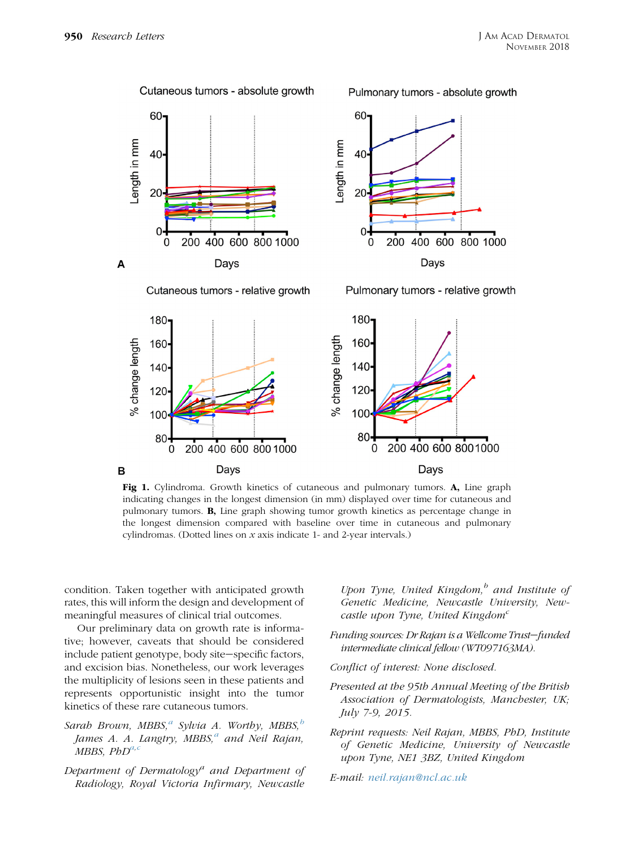<span id="page-1-0"></span>

Fig 1. Cylindroma. Growth kinetics of cutaneous and pulmonary tumors. A, Line graph indicating changes in the longest dimension (in mm) displayed over time for cutaneous and pulmonary tumors. B, Line graph showing tumor growth kinetics as percentage change in the longest dimension compared with baseline over time in cutaneous and pulmonary cylindromas. (Dotted lines on  $x$  axis indicate 1- and 2-year intervals.)

condition. Taken together with anticipated growth rates, this will inform the design and development of meaningful measures of clinical trial outcomes.

Our preliminary data on growth rate is informative; however, caveats that should be considered include patient genotype, body site-specific factors, and excision bias. Nonetheless, our work leverages the multiplicity of lesions seen in these patients and represents opportunistic insight into the tumor kinetics of these rare cutaneous tumors.

- Sarah Brown, MBBS,<sup> $a$ </sup> Sylvia A. Worthy, MBBS, $\frac{b}{b}$ James A. A. Langtry, MBBS, $^a$  and Neil Rajan, MBBS,  $PbD^{a,c}$
- Department of Dermatology<sup>a</sup> and Department of Radiology, Royal Victoria Infirmary, Newcastle

Upon Tyne, United Kingdom, $\delta$  and Institute of Genetic Medicine, Newcastle University, Newcastle upon Tyne, United Kingdom<sup>c</sup>

- Funding sources: Dr Rajan is a Wellcome Trust-funded intermediate clinical fellow (WT097163MA).
- Conflict of interest: None disclosed.
- Presented at the 95th Annual Meeting of the British Association of Dermatologists, Manchester, UK; July 7-9, 2015.
- Reprint requests: Neil Rajan, MBBS, PhD, Institute of Genetic Medicine, University of Newcastle upon Tyne, NE1 3BZ, United Kingdom
- E-mail: [neil.rajan@ncl.ac.uk](mailto:neil.rajan@ncl.ac.uk)